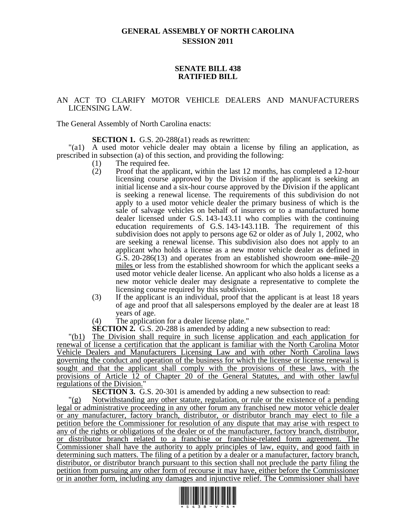# **GENERAL ASSEMBLY OF NORTH CAROLINA SESSION 2011**

### **SENATE BILL 438 RATIFIED BILL**

## AN ACT TO CLARIFY MOTOR VEHICLE DEALERS AND MANUFACTURERS LICENSING LAW.

The General Assembly of North Carolina enacts:

**SECTION 1.** G.S. 20-288(a1) reads as rewritten:

"(a1) A used motor vehicle dealer may obtain a license by filing an application, as prescribed in subsection (a) of this section, and providing the following:

- (1) The required fee.
- (2) Proof that the applicant, within the last 12 months, has completed a 12-hour licensing course approved by the Division if the applicant is seeking an initial license and a six-hour course approved by the Division if the applicant is seeking a renewal license. The requirements of this subdivision do not apply to a used motor vehicle dealer the primary business of which is the sale of salvage vehicles on behalf of insurers or to a manufactured home dealer licensed under G.S. 143-143.11 who complies with the continuing education requirements of G.S. 143-143.11B. The requirement of this subdivision does not apply to persons age 62 or older as of July 1, 2002, who are seeking a renewal license. This subdivision also does not apply to an applicant who holds a license as a new motor vehicle dealer as defined in G.S. 20-286(13) and operates from an established showroom one mile 20 miles or less from the established showroom for which the applicant seeks a used motor vehicle dealer license. An applicant who also holds a license as a new motor vehicle dealer may designate a representative to complete the licensing course required by this subdivision.
- (3) If the applicant is an individual, proof that the applicant is at least 18 years of age and proof that all salespersons employed by the dealer are at least 18 years of age.
- (4) The application for a dealer license plate."

**SECTION 2.** G.S. 20-288 is amended by adding a new subsection to read:

"(b1) The Division shall require in such license application and each application for renewal of license a certification that the applicant is familiar with the North Carolina Motor Vehicle Dealers and Manufacturers Licensing Law and with other North Carolina laws governing the conduct and operation of the business for which the license or license renewal is sought and that the applicant shall comply with the provisions of these laws, with the provisions of Article 12 of Chapter 20 of the General Statutes, and with other lawful regulations of the Division."

**SECTION 3.** G.S. 20-301 is amended by adding a new subsection to read:

Notwithstanding any other statute, regulation, or rule or the existence of a pending legal or administrative proceeding in any other forum any franchised new motor vehicle dealer or any manufacturer, factory branch, distributor, or distributor branch may elect to file a petition before the Commissioner for resolution of any dispute that may arise with respect to any of the rights or obligations of the dealer or of the manufacturer, factory branch, distributor, or distributor branch related to a franchise or franchise-related form agreement. The Commissioner shall have the authority to apply principles of law, equity, and good faith in determining such matters. The filing of a petition by a dealer or a manufacturer, factory branch, distributor, or distributor branch pursuant to this section shall not preclude the party filing the petition from pursuing any other form of recourse it may have, either before the Commissioner or in another form, including any damages and injunctive relief. The Commissioner shall have

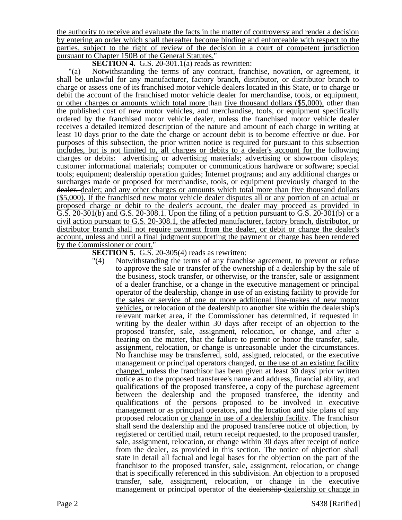the authority to receive and evaluate the facts in the matter of controversy and render a decision by entering an order which shall thereafter become binding and enforceable with respect to the parties, subject to the right of review of the decision in a court of competent jurisdiction pursuant to Chapter 150B of the General Statutes."

**SECTION 4.** G.S. 20-301.1(a) reads as rewritten:

"(a) Notwithstanding the terms of any contract, franchise, novation, or agreement, it shall be unlawful for any manufacturer, factory branch, distributor, or distributor branch to charge or assess one of its franchised motor vehicle dealers located in this State, or to charge or debit the account of the franchised motor vehicle dealer for merchandise, tools, or equipment, or other charges or amounts which total more than five thousand dollars (\$5,000), other than the published cost of new motor vehicles, and merchandise, tools, or equipment specifically ordered by the franchised motor vehicle dealer, unless the franchised motor vehicle dealer receives a detailed itemized description of the nature and amount of each charge in writing at least 10 days prior to the date the charge or account debit is to become effective or due. For purposes of this subsection, the prior written notice is required for pursuant to this subsection includes, but is not limited to, all charges or debits to a dealer's account for the following charges or debits: advertising or advertising materials; advertising or showroom displays; customer informational materials; computer or communications hardware or software; special tools; equipment; dealership operation guides; Internet programs; and any additional charges or surcharges made or proposed for merchandise, tools, or equipment previously charged to the dealer. dealer; and any other charges or amounts which total more than five thousand dollars (\$5,000). If the franchised new motor vehicle dealer disputes all or any portion of an actual or proposed charge or debit to the dealer's account, the dealer may proceed as provided in G.S. 20-301(b) and G.S. 20-308.1. Upon the filing of a petition pursuant to G.S. 20-301(b) or a civil action pursuant to G.S. 20-308.1, the affected manufacturer, factory branch, distributor, or distributor branch shall not require payment from the dealer, or debit or charge the dealer's account, unless and until a final judgment supporting the payment or charge has been rendered by the Commissioner or court."

**SECTION 5.** G.S. 20-305(4) reads as rewritten:

"(4) Notwithstanding the terms of any franchise agreement, to prevent or refuse to approve the sale or transfer of the ownership of a dealership by the sale of the business, stock transfer, or otherwise, or the transfer, sale or assignment of a dealer franchise, or a change in the executive management or principal operator of the dealership, change in use of an existing facility to provide for the sales or service of one or more additional line-makes of new motor vehicles, or relocation of the dealership to another site within the dealership's relevant market area, if the Commissioner has determined, if requested in writing by the dealer within 30 days after receipt of an objection to the proposed transfer, sale, assignment, relocation, or change, and after a hearing on the matter, that the failure to permit or honor the transfer, sale, assignment, relocation, or change is unreasonable under the circumstances. No franchise may be transferred, sold, assigned, relocated, or the executive management or principal operators changed, or the use of an existing facility changed, unless the franchisor has been given at least 30 days' prior written notice as to the proposed transferee's name and address, financial ability, and qualifications of the proposed transferee, a copy of the purchase agreement between the dealership and the proposed transferee, the identity and qualifications of the persons proposed to be involved in executive management or as principal operators, and the location and site plans of any proposed relocation or change in use of a dealership facility. The franchisor shall send the dealership and the proposed transferee notice of objection, by registered or certified mail, return receipt requested, to the proposed transfer, sale, assignment, relocation, or change within 30 days after receipt of notice from the dealer, as provided in this section. The notice of objection shall state in detail all factual and legal bases for the objection on the part of the franchisor to the proposed transfer, sale, assignment, relocation, or change that is specifically referenced in this subdivision. An objection to a proposed transfer, sale, assignment, relocation, or change in the executive management or principal operator of the dealership-dealership or change in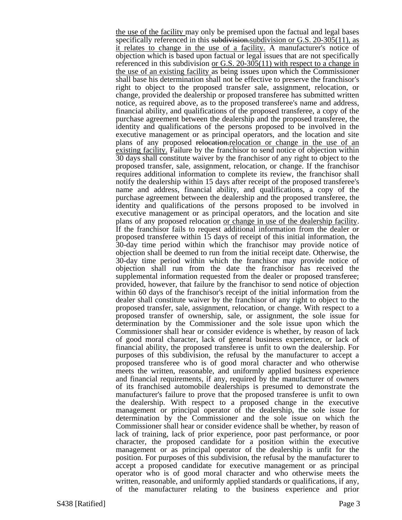the use of the facility may only be premised upon the factual and legal bases specifically referenced in this subdivision.subdivision or G.S. 20-305(11), as it relates to change in the use of a facility. A manufacturer's notice of objection which is based upon factual or legal issues that are not specifically referenced in this subdivision or G.S. 20-305(11) with respect to a change in the use of an existing facility as being issues upon which the Commissioner shall base his determination shall not be effective to preserve the franchisor's right to object to the proposed transfer sale, assignment, relocation, or change, provided the dealership or proposed transferee has submitted written notice, as required above, as to the proposed transferee's name and address, financial ability, and qualifications of the proposed transferee, a copy of the purchase agreement between the dealership and the proposed transferee, the identity and qualifications of the persons proposed to be involved in the executive management or as principal operators, and the location and site plans of any proposed relocation-relocation or change in the use of an existing facility. Failure by the franchisor to send notice of objection within 30 days shall constitute waiver by the franchisor of any right to object to the proposed transfer, sale, assignment, relocation, or change. If the franchisor requires additional information to complete its review, the franchisor shall notify the dealership within 15 days after receipt of the proposed transferee's name and address, financial ability, and qualifications, a copy of the purchase agreement between the dealership and the proposed transferee, the identity and qualifications of the persons proposed to be involved in executive management or as principal operators, and the location and site plans of any proposed relocation or change in use of the dealership facility. If the franchisor fails to request additional information from the dealer or proposed transferee within 15 days of receipt of this initial information, the 30-day time period within which the franchisor may provide notice of objection shall be deemed to run from the initial receipt date. Otherwise, the 30-day time period within which the franchisor may provide notice of objection shall run from the date the franchisor has received the supplemental information requested from the dealer or proposed transferee; provided, however, that failure by the franchisor to send notice of objection within 60 days of the franchisor's receipt of the initial information from the dealer shall constitute waiver by the franchisor of any right to object to the proposed transfer, sale, assignment, relocation, or change. With respect to a proposed transfer of ownership, sale, or assignment, the sole issue for determination by the Commissioner and the sole issue upon which the Commissioner shall hear or consider evidence is whether, by reason of lack of good moral character, lack of general business experience, or lack of financial ability, the proposed transferee is unfit to own the dealership. For purposes of this subdivision, the refusal by the manufacturer to accept a proposed transferee who is of good moral character and who otherwise meets the written, reasonable, and uniformly applied business experience and financial requirements, if any, required by the manufacturer of owners of its franchised automobile dealerships is presumed to demonstrate the manufacturer's failure to prove that the proposed transferee is unfit to own the dealership. With respect to a proposed change in the executive management or principal operator of the dealership, the sole issue for determination by the Commissioner and the sole issue on which the Commissioner shall hear or consider evidence shall be whether, by reason of lack of training, lack of prior experience, poor past performance, or poor character, the proposed candidate for a position within the executive management or as principal operator of the dealership is unfit for the position. For purposes of this subdivision, the refusal by the manufacturer to accept a proposed candidate for executive management or as principal operator who is of good moral character and who otherwise meets the written, reasonable, and uniformly applied standards or qualifications, if any, of the manufacturer relating to the business experience and prior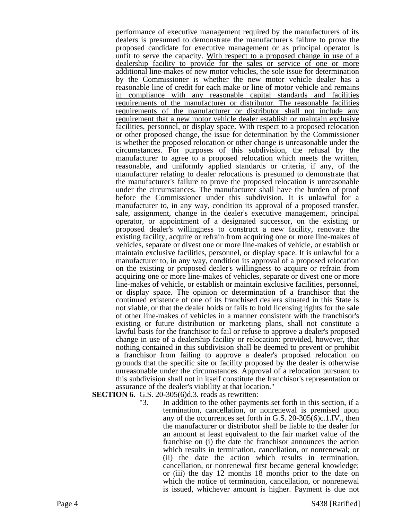performance of executive management required by the manufacturers of its dealers is presumed to demonstrate the manufacturer's failure to prove the proposed candidate for executive management or as principal operator is unfit to serve the capacity. With respect to a proposed change in use of a dealership facility to provide for the sales or service of one or more additional line-makes of new motor vehicles, the sole issue for determination by the Commissioner is whether the new motor vehicle dealer has a reasonable line of credit for each make or line of motor vehicle and remains in compliance with any reasonable capital standards and facilities requirements of the manufacturer or distributor. The reasonable facilities requirements of the manufacturer or distributor shall not include any requirement that a new motor vehicle dealer establish or maintain exclusive facilities, personnel, or display space. With respect to a proposed relocation or other proposed change, the issue for determination by the Commissioner is whether the proposed relocation or other change is unreasonable under the circumstances. For purposes of this subdivision, the refusal by the manufacturer to agree to a proposed relocation which meets the written, reasonable, and uniformly applied standards or criteria, if any, of the manufacturer relating to dealer relocations is presumed to demonstrate that the manufacturer's failure to prove the proposed relocation is unreasonable under the circumstances. The manufacturer shall have the burden of proof before the Commissioner under this subdivision. It is unlawful for a manufacturer to, in any way, condition its approval of a proposed transfer, sale, assignment, change in the dealer's executive management, principal operator, or appointment of a designated successor, on the existing or proposed dealer's willingness to construct a new facility, renovate the existing facility, acquire or refrain from acquiring one or more line-makes of vehicles, separate or divest one or more line-makes of vehicle, or establish or maintain exclusive facilities, personnel, or display space. It is unlawful for a manufacturer to, in any way, condition its approval of a proposed relocation on the existing or proposed dealer's willingness to acquire or refrain from acquiring one or more line-makes of vehicles, separate or divest one or more line-makes of vehicle, or establish or maintain exclusive facilities, personnel, or display space. The opinion or determination of a franchisor that the continued existence of one of its franchised dealers situated in this State is not viable, or that the dealer holds or fails to hold licensing rights for the sale of other line-makes of vehicles in a manner consistent with the franchisor's existing or future distribution or marketing plans, shall not constitute a lawful basis for the franchisor to fail or refuse to approve a dealer's proposed change in use of a dealership facility or relocation: provided, however, that nothing contained in this subdivision shall be deemed to prevent or prohibit a franchisor from failing to approve a dealer's proposed relocation on grounds that the specific site or facility proposed by the dealer is otherwise unreasonable under the circumstances. Approval of a relocation pursuant to this subdivision shall not in itself constitute the franchisor's representation or assurance of the dealer's viability at that location."

**SECTION 6.** G.S. 20-305(6)d.3. reads as rewritten:<br>"3. In addition to the other payme

In addition to the other payments set forth in this section, if a termination, cancellation, or nonrenewal is premised upon any of the occurrences set forth in G.S. 20-305(6)c.1.IV., then the manufacturer or distributor shall be liable to the dealer for an amount at least equivalent to the fair market value of the franchise on (i) the date the franchisor announces the action which results in termination, cancellation, or nonrenewal; or (ii) the date the action which results in termination, cancellation, or nonrenewal first became general knowledge; or (iii) the day  $12$  months 18 months prior to the date on which the notice of termination, cancellation, or nonrenewal is issued, whichever amount is higher. Payment is due not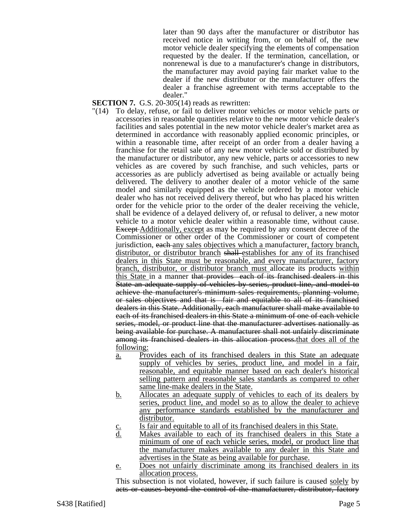later than 90 days after the manufacturer or distributor has received notice in writing from, or on behalf of, the new motor vehicle dealer specifying the elements of compensation requested by the dealer. If the termination, cancellation, or nonrenewal is due to a manufacturer's change in distributors, the manufacturer may avoid paying fair market value to the dealer if the new distributor or the manufacturer offers the dealer a franchise agreement with terms acceptable to the dealer."

**SECTION 7.** G.S. 20-305(14) reads as rewritten:

- "(14) To delay, refuse, or fail to deliver motor vehicles or motor vehicle parts or accessories in reasonable quantities relative to the new motor vehicle dealer's facilities and sales potential in the new motor vehicle dealer's market area as determined in accordance with reasonably applied economic principles, or within a reasonable time, after receipt of an order from a dealer having a franchise for the retail sale of any new motor vehicle sold or distributed by the manufacturer or distributor, any new vehicle, parts or accessories to new vehicles as are covered by such franchise, and such vehicles, parts or accessories as are publicly advertised as being available or actually being delivered. The delivery to another dealer of a motor vehicle of the same model and similarly equipped as the vehicle ordered by a motor vehicle dealer who has not received delivery thereof, but who has placed his written order for the vehicle prior to the order of the dealer receiving the vehicle, shall be evidence of a delayed delivery of, or refusal to deliver, a new motor vehicle to a motor vehicle dealer within a reasonable time, without cause. Except Additionally, except as may be required by any consent decree of the Commissioner or other order of the Commissioner or court of competent jurisdiction, each any sales objectives which a manufacturer, factory branch, distributor, or distributor branch shall establishes for any of its franchised dealers in this State must be reasonable, and every manufacturer, factory branch, distributor, or distributor branch must allocate its products within this State in a manner that provides each of its franchised dealers in this State an adequate supply of vehicles by series, product line, and model to achieve the manufacturer's minimum sales requirements, planning volume, or sales objectives and that is fair and equitable to all of its franchised dealers in this State. Additionally, each manufacturer shall make available to each of its franchised dealers in this State a minimum of one of each vehicle series, model, or product line that the manufacturer advertises nationally as being available for purchase. A manufacturer shall not unfairly discriminate among its franchised dealers in this allocation process.that does all of the following:
	- a. Provides each of its franchised dealers in this State an adequate supply of vehicles by series, product line, and model in a fair, reasonable, and equitable manner based on each dealer's historical selling pattern and reasonable sales standards as compared to other same line-make dealers in the State.
	- b. Allocates an adequate supply of vehicles to each of its dealers by series, product line, and model so as to allow the dealer to achieve any performance standards established by the manufacturer and distributor.
	- $\frac{c}{d}$  Is fair and equitable to all of its franchised dealers in this State.<br>d. Makes available to each of its franchised dealers in this S
	- Makes available to each of its franchised dealers in this State a minimum of one of each vehicle series, model, or product line that the manufacturer makes available to any dealer in this State and advertises in the State as being available for purchase.
	- e. Does not unfairly discriminate among its franchised dealers in its allocation process.

This subsection is not violated, however, if such failure is caused solely by acts or causes beyond the control of the manufacturer, distributor, factory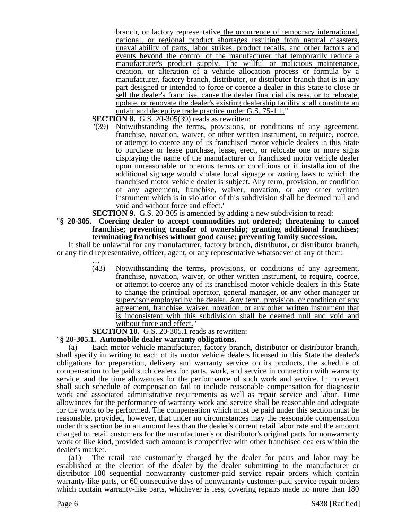branch, or factory representative the occurrence of temporary international, national, or regional product shortages resulting from natural disasters, unavailability of parts, labor strikes, product recalls, and other factors and events beyond the control of the manufacturer that temporarily reduce a manufacturer's product supply. The willful or malicious maintenance, creation, or alteration of a vehicle allocation process or formula by a manufacturer, factory branch, distributor, or distributor branch that is in any part designed or intended to force or coerce a dealer in this State to close or sell the dealer's franchise, cause the dealer financial distress, or to relocate, update, or renovate the dealer's existing dealership facility shall constitute an unfair and deceptive trade practice under G.S. 75-1.1."

**SECTION 8.** G.S. 20-305(39) reads as rewritten:

"(39) Notwithstanding the terms, provisions, or conditions of any agreement, franchise, novation, waiver, or other written instrument, to require, coerce, or attempt to coerce any of its franchised motor vehicle dealers in this State to purchase or lease purchase, lease, erect, or relocate one or more signs displaying the name of the manufacturer or franchised motor vehicle dealer upon unreasonable or onerous terms or conditions or if installation of the additional signage would violate local signage or zoning laws to which the franchised motor vehicle dealer is subject. Any term, provision, or condition of any agreement, franchise, waiver, novation, or any other written instrument which is in violation of this subdivision shall be deemed null and void and without force and effect."

**SECTION 9.** G.S. 20-305 is amended by adding a new subdivision to read:<br>"§ 20-305. Coercing dealer to accept commodities not ordered: threatening to

Coercing dealer to accept commodities not ordered; threatening to cancel **franchise; preventing transfer of ownership; granting additional franchises; terminating franchises without good cause; preventing family succession.**

It shall be unlawful for any manufacturer, factory branch, distributor, or distributor branch, or any field representative, officer, agent, or any representative whatsoever of any of them:

> … (43) Notwithstanding the terms, provisions, or conditions of any agreement, franchise, novation, waiver, or other written instrument, to require, coerce, or attempt to coerce any of its franchised motor vehicle dealers in this State to change the principal operator, general manager, or any other manager or supervisor employed by the dealer. Any term, provision, or condition of any agreement, franchise, waiver, novation, or any other written instrument that is inconsistent with this subdivision shall be deemed null and void and without force and effect."

# **SECTION 10.** G.S. 20-305.1 reads as rewritten:

### "**§ 20-305.1. Automobile dealer warranty obligations.**

(a) Each motor vehicle manufacturer, factory branch, distributor or distributor branch, shall specify in writing to each of its motor vehicle dealers licensed in this State the dealer's obligations for preparation, delivery and warranty service on its products, the schedule of compensation to be paid such dealers for parts, work, and service in connection with warranty service, and the time allowances for the performance of such work and service. In no event shall such schedule of compensation fail to include reasonable compensation for diagnostic work and associated administrative requirements as well as repair service and labor. Time allowances for the performance of warranty work and service shall be reasonable and adequate for the work to be performed. The compensation which must be paid under this section must be reasonable, provided, however, that under no circumstances may the reasonable compensation under this section be in an amount less than the dealer's current retail labor rate and the amount charged to retail customers for the manufacturer's or distributor's original parts for nonwarranty work of like kind, provided such amount is competitive with other franchised dealers within the dealer's market.

(a1) The retail rate customarily charged by the dealer for parts and labor may be established at the election of the dealer by the dealer submitting to the manufacturer or distributor 100 sequential nonwarranty customer-paid service repair orders which contain warranty-like parts, or 60 consecutive days of nonwarranty customer-paid service repair orders which contain warranty-like parts, whichever is less, covering repairs made no more than 180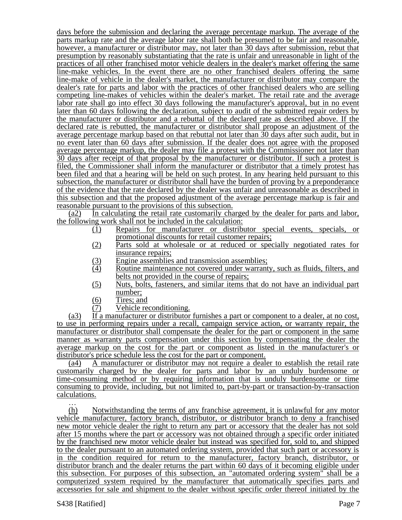days before the submission and declaring the average percentage markup. The average of the parts markup rate and the average labor rate shall both be presumed to be fair and reasonable, however, a manufacturer or distributor may, not later than 30 days after submission, rebut that presumption by reasonably substantiating that the rate is unfair and unreasonable in light of the practices of all other franchised motor vehicle dealers in the dealer's market offering the same line-make vehicles. In the event there are no other franchised dealers offering the same line-make of vehicle in the dealer's market, the manufacturer or distributor may compare the dealer's rate for parts and labor with the practices of other franchised dealers who are selling competing line-makes of vehicles within the dealer's market. The retail rate and the average labor rate shall go into effect 30 days following the manufacturer's approval, but in no event later than 60 days following the declaration, subject to audit of the submitted repair orders by the manufacturer or distributor and a rebuttal of the declared rate as described above. If the declared rate is rebutted, the manufacturer or distributor shall propose an adjustment of the average percentage markup based on that rebuttal not later than 30 days after such audit, but in no event later than 60 days after submission. If the dealer does not agree with the proposed average percentage markup, the dealer may file a protest with the Commissioner not later than 30 days after receipt of that proposal by the manufacturer or distributor. If such a protest is filed, the Commissioner shall inform the manufacturer or distributor that a timely protest has been filed and that a hearing will be held on such protest. In any hearing held pursuant to this subsection, the manufacturer or distributor shall have the burden of proving by a preponderance of the evidence that the rate declared by the dealer was unfair and unreasonable as described in this subsection and that the proposed adjustment of the average percentage markup is fair and reasonable pursuant to the provisions of this subsection.

(a2) In calculating the retail rate customarily charged by the dealer for parts and labor, the following work shall not be included in the calculation:

- (1) Repairs for manufacturer or distributor special events, specials, or promotional discounts for retail customer repairs;
- (2) Parts sold at wholesale or at reduced or specially negotiated rates for insurance repairs;
- (3) Engine assemblies and transmission assemblies;<br>(4) Routine maintenance not covered under warrant
- Routine maintenance not covered under warranty, such as fluids, filters, and belts not provided in the course of repairs;
- (5) Nuts, bolts, fasteners, and similar items that do not have an individual part number;
	-
- $\frac{(6)}{(7)}$  Tires; and Vehicle re Vehicle reconditioning.

(a3) If a manufacturer or distributor furnishes a part or component to a dealer, at no cost, to use in performing repairs under a recall, campaign service action, or warranty repair, the manufacturer or distributor shall compensate the dealer for the part or component in the same manner as warranty parts compensation under this section by compensating the dealer the average markup on the cost for the part or component as listed in the manufacturer's or distributor's price schedule less the cost for the part or component.

(a4) A manufacturer or distributor may not require a dealer to establish the retail rate customarily charged by the dealer for parts and labor by an unduly burdensome or time-consuming method or by requiring information that is unduly burdensome or time consuming to provide, including, but not limited to, part-by-part or transaction-by-transaction calculations.

(h) Notwithstanding the terms of any franchise agreement, it is unlawful for any motor vehicle manufacturer, factory branch, distributor, or distributor branch to deny a franchised new motor vehicle dealer the right to return any part or accessory that the dealer has not sold after 15 months where the part or accessory was not obtained through a specific order initiated by the franchised new motor vehicle dealer but instead was specified for, sold to, and shipped to the dealer pursuant to an automated ordering system, provided that such part or accessory is in the condition required for return to the manufacturer, factory branch, distributor, or distributor branch and the dealer returns the part within 60 days of it becoming eligible under this subsection. For purposes of this subsection, an "automated ordering system" shall be a computerized system required by the manufacturer that automatically specifies parts and accessories for sale and shipment to the dealer without specific order thereof initiated by the

…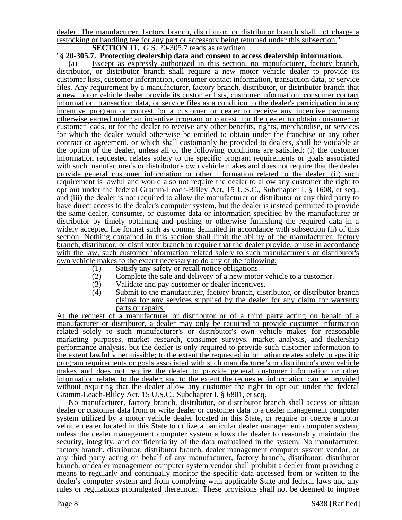dealer. The manufacturer, factory branch, distributor, or distributor branch shall not charge a restocking or handling fee for any part or accessory being returned under this subsection." **SECTION 11.** G.S. 20-305.7 reads as rewritten:

## "**§ 20-305.7. Protecting dealership data and consent to access dealership information.**

(a) Except as expressly authorized in this section, no manufacturer, factory branch, distributor, or distributor branch shall require a new motor vehicle dealer to provide its customer lists, customer information, consumer contact information, transaction data, or service files. Any requirement by a manufacturer, factory branch, distributor, or distributor branch that a new motor vehicle dealer provide its customer lists, customer information, consumer contact information, transaction data, or service files as a condition to the dealer's participation in any incentive program or contest for a customer or dealer to receive any incentive payments otherwise earned under an incentive program or contest, for the dealer to obtain consumer or customer leads, or for the dealer to receive any other benefits, rights, merchandise, or services for which the dealer would otherwise be entitled to obtain under the franchise or any other contract or agreement, or which shall customarily be provided to dealers, shall be voidable at the option of the dealer, unless all of the following conditions are satisfied: (i) the customer information requested relates solely to the specific program requirements or goals associated with such manufacturer's or distributor's own vehicle makes and does not require that the dealer provide general customer information or other information related to the dealer; (ii) such requirement is lawful and would also not require the dealer to allow any customer the right to opt out under the federal Gramm-Leach-Bliley Act, 15 U.S.C., Subchapter I, § 1608, et seq*.*; and (iii) the dealer is not required to allow the manufacturer or distributor or any third party to have direct access to the dealer's computer system, but the dealer is instead permitted to provide the same dealer, consumer, or customer data or information specified by the manufacturer or distributor by timely obtaining and pushing or otherwise furnishing the required data in a widely accepted file format such as comma delimited in accordance with subsection (h) of this section. Nothing contained in this section shall limit the ability of the manufacturer, factory branch, distributor, or distributor branch to require that the dealer provide, or use in accordance with the law, such customer information related solely to such manufacturer's or distributor's own vehicle makes to the extent necessary to do any of the following:

- (1) Satisfy any safety or recall notice obligations.<br>(2) Complete the sale and delivery of a new motor
- $\frac{1}{2}$  Complete the sale and delivery of a new motor vehicle to a customer.<br>
(3) Validate and pay customer or dealer incentives.
- (3) Validate and pay customer or dealer incentives.<br>(4) Submit to the manufacturer, factory branch, dist
- Submit to the manufacturer, factory branch, distributor, or distributor branch claims for any services supplied by the dealer for any claim for warranty parts or repairs.

At the request of a manufacturer or distributor or of a third party acting on behalf of a manufacturer or distributor, a dealer may only be required to provide customer information related solely to such manufacturer's or distributor's own vehicle makes for reasonable marketing purposes, market research, consumer surveys, market analysis, and dealership performance analysis, but the dealer is only required to provide such customer information to the extent lawfully permissible; to the extent the requested information relates solely to specific program requirements or goals associated with such manufacturer's or distributor's own vehicle makes and does not require the dealer to provide general customer information or other information related to the dealer; and to the extent the requested information can be provided without requiring that the dealer allow any customer the right to opt out under the federal Gramm-Leach-Bliley Act, 15 U.S.C., Subchapter I, § 6801, et seq.

No manufacturer, factory branch, distributor, or distributor branch shall access or obtain dealer or customer data from or write dealer or customer data to a dealer management computer system utilized by a motor vehicle dealer located in this State, or require or coerce a motor vehicle dealer located in this State to utilize a particular dealer management computer system, unless the dealer management computer system allows the dealer to reasonably maintain the security, integrity, and confidentiality of the data maintained in the system. No manufacturer, factory branch, distributor, distributor branch, dealer management computer system vendor, or any third party acting on behalf of any manufacturer, factory branch, distributor, distributor branch, or dealer management computer system vendor shall prohibit a dealer from providing a means to regularly and continually monitor the specific data accessed from or written to the dealer's computer system and from complying with applicable State and federal laws and any rules or regulations promulgated thereunder. These provisions shall not be deemed to impose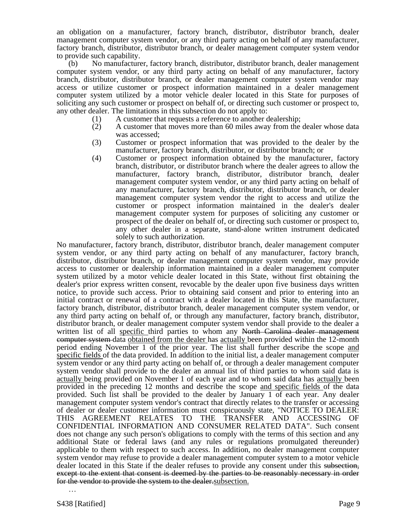an obligation on a manufacturer, factory branch, distributor, distributor branch, dealer management computer system vendor, or any third party acting on behalf of any manufacturer, factory branch, distributor, distributor branch, or dealer management computer system vendor to provide such capability.

(b) No manufacturer, factory branch, distributor, distributor branch, dealer management computer system vendor, or any third party acting on behalf of any manufacturer, factory branch, distributor, distributor branch, or dealer management computer system vendor may access or utilize customer or prospect information maintained in a dealer management computer system utilized by a motor vehicle dealer located in this State for purposes of soliciting any such customer or prospect on behalf of, or directing such customer or prospect to, any other dealer. The limitations in this subsection do not apply to:

- (1) A customer that requests a reference to another dealership;
- (2) A customer that moves more than 60 miles away from the dealer whose data was accessed;
- (3) Customer or prospect information that was provided to the dealer by the manufacturer, factory branch, distributor, or distributor branch; or
- (4) Customer or prospect information obtained by the manufacturer, factory branch, distributor, or distributor branch where the dealer agrees to allow the manufacturer, factory branch, distributor, distributor branch, dealer management computer system vendor, or any third party acting on behalf of any manufacturer, factory branch, distributor, distributor branch, or dealer management computer system vendor the right to access and utilize the customer or prospect information maintained in the dealer's dealer management computer system for purposes of soliciting any customer or prospect of the dealer on behalf of, or directing such customer or prospect to, any other dealer in a separate, stand-alone written instrument dedicated solely to such authorization.

No manufacturer, factory branch, distributor, distributor branch, dealer management computer system vendor, or any third party acting on behalf of any manufacturer, factory branch, distributor, distributor branch, or dealer management computer system vendor, may provide access to customer or dealership information maintained in a dealer management computer system utilized by a motor vehicle dealer located in this State, without first obtaining the dealer's prior express written consent, revocable by the dealer upon five business days written notice, to provide such access. Prior to obtaining said consent and prior to entering into an initial contract or renewal of a contract with a dealer located in this State, the manufacturer, factory branch, distributor, distributor branch, dealer management computer system vendor, or any third party acting on behalf of, or through any manufacturer, factory branch, distributor, distributor branch, or dealer management computer system vendor shall provide to the dealer a written list of all specific third parties to whom any North Carolina dealer management computer system data obtained from the dealer has actually been provided within the 12-month period ending November 1 of the prior year. The list shall further describe the scope and specific fields of the data provided. In addition to the initial list, a dealer management computer system vendor or any third party acting on behalf of, or through a dealer management computer system vendor shall provide to the dealer an annual list of third parties to whom said data is actually being provided on November 1 of each year and to whom said data has actually been provided in the preceding 12 months and describe the scope and specific fields of the data provided. Such list shall be provided to the dealer by January 1 of each year. Any dealer management computer system vendor's contract that directly relates to the transfer or accessing of dealer or dealer customer information must conspicuously state, "NOTICE TO DEALER: THIS AGREEMENT RELATES TO THE TRANSFER AND ACCESSING OF CONFIDENTIAL INFORMATION AND CONSUMER RELATED DATA". Such consent does not change any such person's obligations to comply with the terms of this section and any additional State or federal laws (and any rules or regulations promulgated thereunder) applicable to them with respect to such access. In addition, no dealer management computer system vendor may refuse to provide a dealer management computer system to a motor vehicle dealer located in this State if the dealer refuses to provide any consent under this subsection, except to the extent that consent is deemed by the parties to be reasonably necessary in order for the vendor to provide the system to the dealer.subsection.

…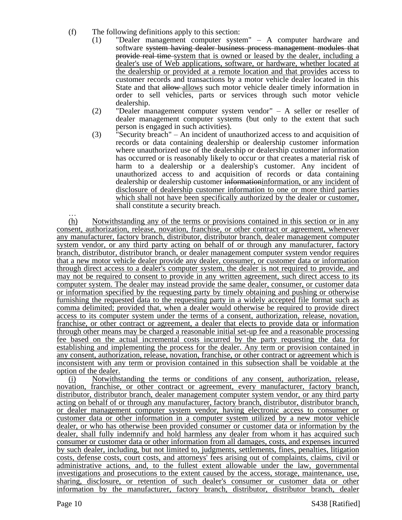- (f) The following definitions apply to this section:
	- (1) "Dealer management computer system" A computer hardware and software system having dealer business process management modules that provide real time system that is owned or leased by the dealer, including a dealer's use of Web applications, software, or hardware, whether located at the dealership or provided at a remote location and that provides access to customer records and transactions by a motor vehicle dealer located in this State and that allow allows such motor vehicle dealer timely information in order to sell vehicles, parts or services through such motor vehicle dealership.
	- (2) "Dealer management computer system vendor" A seller or reseller of dealer management computer systems (but only to the extent that such person is engaged in such activities).
	- (3) "Security breach" An incident of unauthorized access to and acquisition of records or data containing dealership or dealership customer information where unauthorized use of the dealership or dealership customer information has occurred or is reasonably likely to occur or that creates a material risk of harm to a dealership or a dealership's customer. Any incident of unauthorized access to and acquisition of records or data containing dealership or dealership customer informationinformation, or any incident of disclosure of dealership customer information to one or more third parties which shall not have been specifically authorized by the dealer or customer, shall constitute a security breach.

… (h) Notwithstanding any of the terms or provisions contained in this section or in any consent, authorization, release, novation, franchise, or other contract or agreement, whenever any manufacturer, factory branch, distributor, distributor branch, dealer management computer system vendor, or any third party acting on behalf of or through any manufacturer, factory branch, distributor, distributor branch, or dealer management computer system vendor requires that a new motor vehicle dealer provide any dealer, consumer, or customer data or information through direct access to a dealer's computer system, the dealer is not required to provide, and may not be required to consent to provide in any written agreement, such direct access to its computer system. The dealer may instead provide the same dealer, consumer, or customer data or information specified by the requesting party by timely obtaining and pushing or otherwise furnishing the requested data to the requesting party in a widely accepted file format such as comma delimited; provided that, when a dealer would otherwise be required to provide direct access to its computer system under the terms of a consent, authorization, release, novation, franchise, or other contract or agreement, a dealer that elects to provide data or information through other means may be charged a reasonable initial set-up fee and a reasonable processing fee based on the actual incremental costs incurred by the party requesting the data for establishing and implementing the process for the dealer. Any term or provision contained in any consent, authorization, release, novation, franchise, or other contract or agreement which is inconsistent with any term or provision contained in this subsection shall be voidable at the option of the dealer.

(i) Notwithstanding the terms or conditions of any consent, authorization, release, novation, franchise, or other contract or agreement, every manufacturer, factory branch, distributor, distributor branch, dealer management computer system vendor, or any third party acting on behalf of or through any manufacturer, factory branch, distributor, distributor branch, or dealer management computer system vendor, having electronic access to consumer or customer data or other information in a computer system utilized by a new motor vehicle dealer, or who has otherwise been provided consumer or customer data or information by the dealer, shall fully indemnify and hold harmless any dealer from whom it has acquired such consumer or customer data or other information from all damages, costs, and expenses incurred by such dealer, including, but not limited to, judgments, settlements, fines, penalties, litigation costs, defense costs, court costs, and attorneys' fees arising out of complaints, claims, civil or administrative actions, and, to the fullest extent allowable under the law, governmental investigations and prosecutions to the extent caused by the access, storage, maintenance, use, sharing, disclosure, or retention of such dealer's consumer or customer data or other information by the manufacturer, factory branch, distributor, distributor branch, dealer